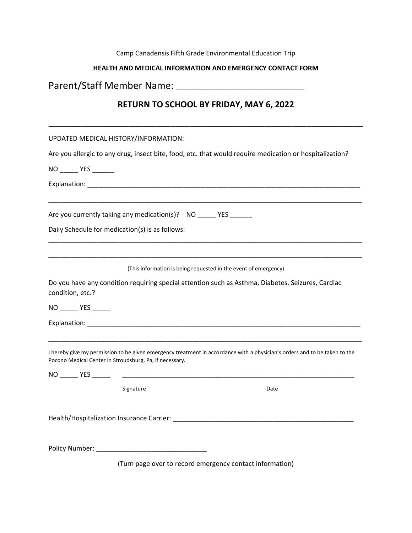### Camp Canadensis Fifth Grade Environmental Education Trip

#### **HEALTH AND MEDICAL INFORMATION AND EMERGENCY CONTACT FORM**

## Parent/Staff Member Name: \_\_\_\_\_\_\_\_\_\_\_\_\_\_\_\_\_\_\_\_\_\_\_\_\_\_\_\_\_\_\_\_\_\_\_

### **RETURN TO SCHOOL BY FRIDAY, MAY 6, 2022**

| UPDATED MEDICAL HISTORY/INFORMATION:                                                                                                                                                                           |
|----------------------------------------------------------------------------------------------------------------------------------------------------------------------------------------------------------------|
| Are you allergic to any drug, insect bite, food, etc. that would require medication or hospitalization?                                                                                                        |
| NO _______ YES _______                                                                                                                                                                                         |
|                                                                                                                                                                                                                |
| Are you currently taking any medication(s)? NO _____ YES ______                                                                                                                                                |
| Daily Schedule for medication(s) is as follows:                                                                                                                                                                |
| (This information is being requested in the event of emergency)                                                                                                                                                |
| Do you have any condition requiring special attention such as Asthma, Diabetes, Seizures, Cardiac<br>condition, etc.?                                                                                          |
| NO ________ YES ______                                                                                                                                                                                         |
|                                                                                                                                                                                                                |
| I hereby give my permission to be given emergency treatment in accordance with a physician's orders and to be taken to the<br>Pocono Medical Center in Stroudsburg, Pa, if necessary.<br>NO _______ YES ______ |
| Signature<br>Date                                                                                                                                                                                              |
|                                                                                                                                                                                                                |
| Policy Number: National Policy Number:                                                                                                                                                                         |

(Turn page over to record emergency contact information)